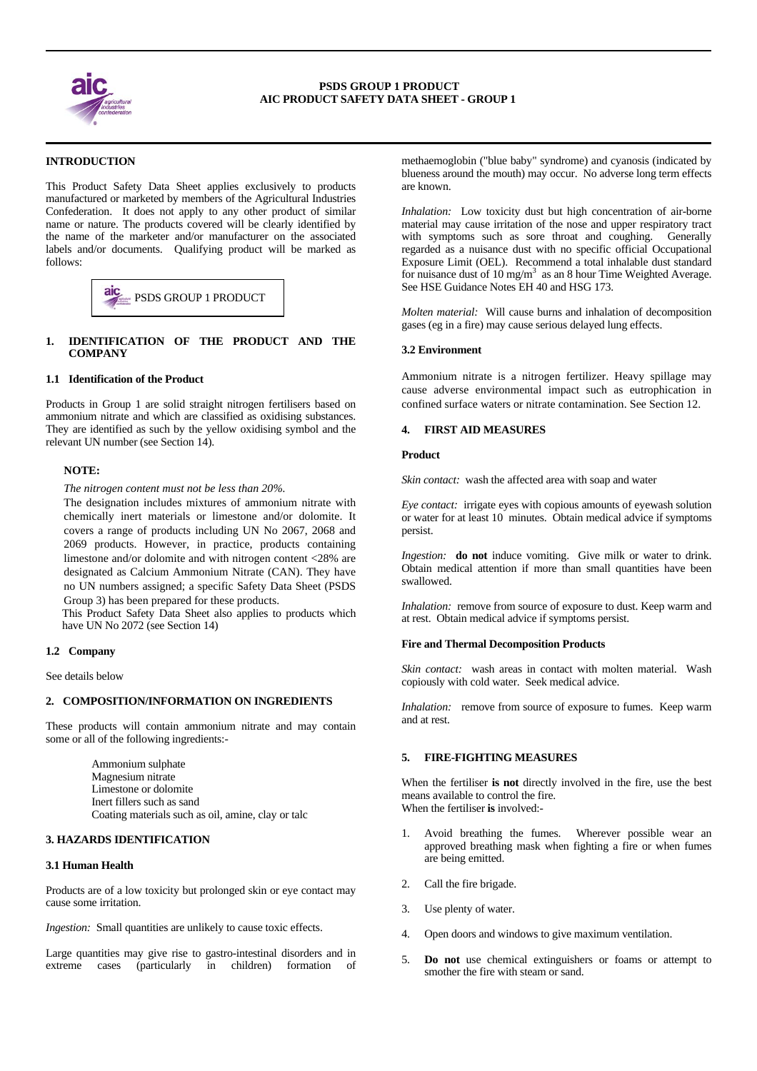

#### ٦ **INTRODUCTION**

This Product Safety Data Sheet applies exclusively to products manufactured or marketed by members of the Agricultural Industries Confederation. It does not apply to any other product of similar name or nature. The products covered will be clearly identified by the name of the marketer and/or manufacturer on the associated labels and/or documents. Qualifying product will be marked as follows:



# **1. IDENTIFICATION OF THE PRODUCT AND THE COMPANY**

#### **1.1 Identification of the Product**

Products in Group 1 are solid straight nitrogen fertilisers based on ammonium nitrate and which are classified as oxidising substances. They are identified as such by the yellow oxidising symbol and the relevant UN number (see Section 14).

## **NOTE:**

*The nitrogen content must not be less than 20%.* 

The designation includes mixtures of ammonium nitrate with chemically inert materials or limestone and/or dolomite. It covers a range of products including UN No 2067, 2068 and 2069 products. However, in practice, products containing limestone and/or dolomite and with nitrogen content <28% are designated as Calcium Ammonium Nitrate (CAN). They have no UN numbers assigned; a specific Safety Data Sheet (PSDS Group 3) has been prepared for these products.

 This Product Safety Data Sheet also applies to products which have UN No 2072 (see Section 14)

# **1.2 Company**

See details below

# **2. COMPOSITION/INFORMATION ON INGREDIENTS**

These products will contain ammonium nitrate and may contain some or all of the following ingredients:-

> Ammonium sulphate Magnesium nitrate Limestone or dolomite Inert fillers such as sand Coating materials such as oil, amine, clay or talc

# **3. HAZARDS IDENTIFICATION**

#### **3.1 Human Health**

Products are of a low toxicity but prolonged skin or eye contact may cause some irritation.

*Ingestion:* Small quantities are unlikely to cause toxic effects.

Large quantities may give rise to gastro-intestinal disorders and in extreme cases (particularly in children) formation of methaemoglobin ("blue baby" syndrome) and cyanosis (indicated by blueness around the mouth) may occur. No adverse long term effects are known.

*Inhalation:* Low toxicity dust but high concentration of air-borne material may cause irritation of the nose and upper respiratory tract with symptoms such as sore throat and coughing. Generally regarded as a nuisance dust with no specific official Occupational Exposure Limit (OEL). Recommend a total inhalable dust standard for nuisance dust of  $10 \text{ mg/m}^3$  as an 8 hour Time Weighted Average. See HSE Guidance Notes EH 40 and HSG 173.

*Molten material:* Will cause burns and inhalation of decomposition gases (eg in a fire) may cause serious delayed lung effects.

## **3.2 Environment**

Ammonium nitrate is a nitrogen fertilizer. Heavy spillage may cause adverse environmental impact such as eutrophication in confined surface waters or nitrate contamination. See Section 12.

## **4. FIRST AID MEASURES**

# **Product**

*Skin contact:* wash the affected area with soap and water

*Eye contact:* irrigate eyes with copious amounts of eyewash solution or water for at least 10 minutes. Obtain medical advice if symptoms persist.

*Ingestion:* **do not** induce vomiting. Give milk or water to drink. Obtain medical attention if more than small quantities have been swallowed.

*Inhalation:* remove from source of exposure to dust. Keep warm and at rest. Obtain medical advice if symptoms persist.

#### **Fire and Thermal Decomposition Products**

*Skin contact:* wash areas in contact with molten material. Wash copiously with cold water. Seek medical advice.

*Inhalation:* remove from source of exposure to fumes. Keep warm and at rest.

# **5. FIRE-FIGHTING MEASURES**

When the fertiliser **is not** directly involved in the fire, use the best means available to control the fire. When the fertiliser **is** involved:-

- 1. Avoid breathing the fumes. Wherever possible wear an approved breathing mask when fighting a fire or when fumes are being emitted.
- 2. Call the fire brigade.
- 3. Use plenty of water.
- 4. Open doors and windows to give maximum ventilation.
- 5. **Do not** use chemical extinguishers or foams or attempt to smother the fire with steam or sand.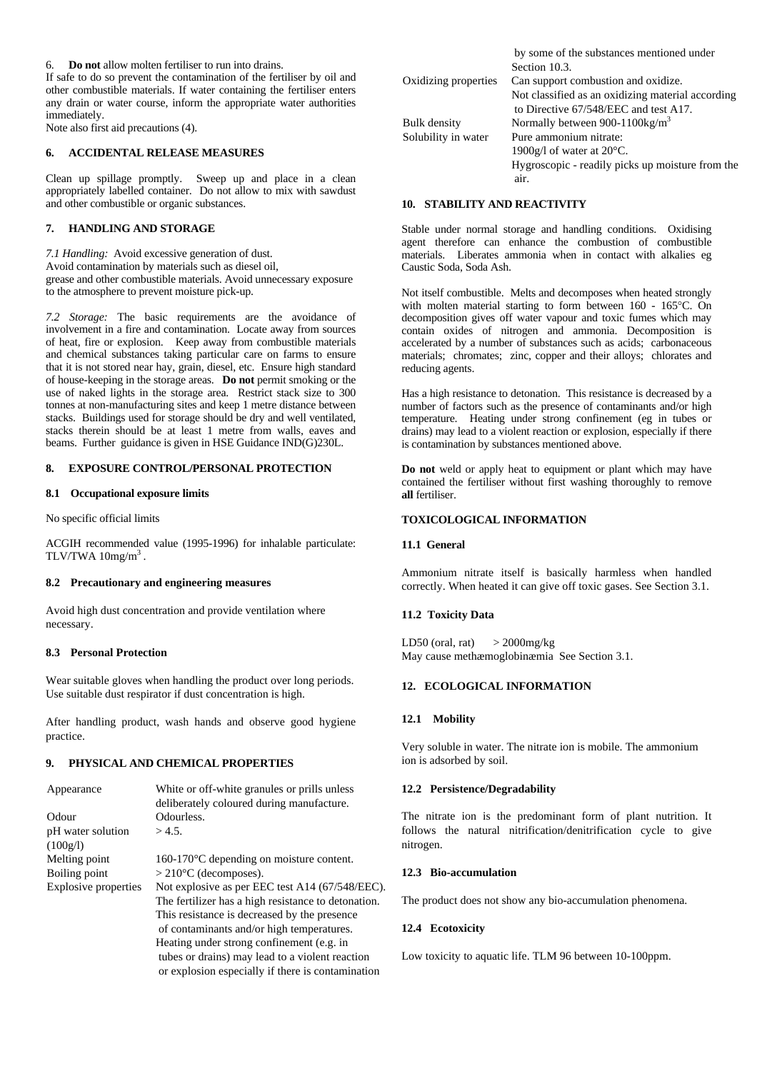6. **Do not** allow molten fertiliser to run into drains.

If safe to do so prevent the contamination of the fertiliser by oil and other combustible materials. If water containing the fertiliser enters any drain or water course, inform the appropriate water authorities immediately.

Note also first aid precautions (4).

#### **6. ACCIDENTAL RELEASE MEASURES**

Clean up spillage promptly. Sweep up and place in a clean appropriately labelled container. Do not allow to mix with sawdust and other combustible or organic substances.

## **7. HANDLING AND STORAGE**

*7.1 Handling:* Avoid excessive generation of dust. Avoid contamination by materials such as diesel oil, grease and other combustible materials. Avoid unnecessary exposure to the atmosphere to prevent moisture pick-up.

*7.2 Storage:* The basic requirements are the avoidance of involvement in a fire and contamination. Locate away from sources of heat, fire or explosion. Keep away from combustible materials and chemical substances taking particular care on farms to ensure that it is not stored near hay, grain, diesel, etc. Ensure high standard of house-keeping in the storage areas. **Do not** permit smoking or the use of naked lights in the storage area. Restrict stack size to 300 tonnes at non-manufacturing sites and keep 1 metre distance between stacks. Buildings used for storage should be dry and well ventilated, stacks therein should be at least 1 metre from walls, eaves and beams. Further guidance is given in HSE Guidance IND(G)230L.

# **8. EXPOSURE CONTROL/PERSONAL PROTECTION**

# **8.1 Occupational exposure limits**

No specific official limits

ACGIH recommended value (1995-1996) for inhalable particulate: TLV/TWA  $10$ mg/m<sup>3</sup>.

# **8.2 Precautionary and engineering measures**

Avoid high dust concentration and provide ventilation where necessary.

#### **8.3 Personal Protection**

Wear suitable gloves when handling the product over long periods. Use suitable dust respirator if dust concentration is high.

After handling product, wash hands and observe good hygiene practice.

### **9. PHYSICAL AND CHEMICAL PROPERTIES**

| Appearance           | White or off-white granules or prills unless        |  |  |
|----------------------|-----------------------------------------------------|--|--|
|                      | deliberately coloured during manufacture.           |  |  |
| Odour                | Odourless.                                          |  |  |
| pH water solution    | $>4.5$ .                                            |  |  |
| (100g/l)             |                                                     |  |  |
| Melting point        | $160-170^{\circ}$ C depending on moisture content.  |  |  |
| Boiling point        | $>$ 210 $\degree$ C (decomposes).                   |  |  |
| Explosive properties | Not explosive as per EEC test A14 (67/548/EEC).     |  |  |
|                      | The fertilizer has a high resistance to detonation. |  |  |
|                      | This resistance is decreased by the presence        |  |  |
|                      | of contaminants and/or high temperatures.           |  |  |
|                      | Heating under strong confinement (e.g. in           |  |  |
|                      | tubes or drains) may lead to a violent reaction     |  |  |
|                      | or explosion especially if there is contamination   |  |  |
|                      |                                                     |  |  |

|                      | by some of the substances mentioned under         |
|----------------------|---------------------------------------------------|
|                      | Section 10.3.                                     |
| Oxidizing properties | Can support combustion and oxidize.               |
|                      | Not classified as an oxidizing material according |
|                      | to Directive 67/548/EEC and test A17.             |
| Bulk density         | Normally between 900-1100 $\text{kg/m}^3$         |
| Solubility in water  | Pure ammonium nitrate:                            |
|                      | 1900g/l of water at $20^{\circ}$ C.               |
|                      | Hygroscopic - readily picks up moisture from the  |
|                      | air.                                              |

# **10. STABILITY AND REACTIVITY**

Stable under normal storage and handling conditions. Oxidising agent therefore can enhance the combustion of combustible materials. Liberates ammonia when in contact with alkalies eg Caustic Soda, Soda Ash.

Not itself combustible. Melts and decomposes when heated strongly with molten material starting to form between 160 - 165°C. On decomposition gives off water vapour and toxic fumes which may contain oxides of nitrogen and ammonia. Decomposition is accelerated by a number of substances such as acids; carbonaceous materials; chromates; zinc, copper and their alloys; chlorates and reducing agents.

Has a high resistance to detonation. This resistance is decreased by a number of factors such as the presence of contaminants and/or high temperature. Heating under strong confinement (eg in tubes or drains) may lead to a violent reaction or explosion, especially if there is contamination by substances mentioned above.

**Do not** weld or apply heat to equipment or plant which may have contained the fertiliser without first washing thoroughly to remove **all** fertiliser.

#### **TOXICOLOGICAL INFORMATION**

#### **11.1 General**

Ammonium nitrate itself is basically harmless when handled correctly. When heated it can give off toxic gases. See Section 3.1.

#### **11.2 Toxicity Data**

LD50 (oral, rat)  $>$  2000mg/kg May cause methæmoglobinæmia See Section 3.1.

# **12. ECOLOGICAL INFORMATION**

#### **12.1 Mobility**

Very soluble in water. The nitrate ion is mobile. The ammonium ion is adsorbed by soil.

# **12.2 Persistence/Degradability**

The nitrate ion is the predominant form of plant nutrition. It follows the natural nitrification/denitrification cycle to give nitrogen.

## **12.3 Bio-accumulation**

The product does not show any bio-accumulation phenomena.

#### **12.4 Ecotoxicity**

Low toxicity to aquatic life. TLM 96 between 10-100ppm.